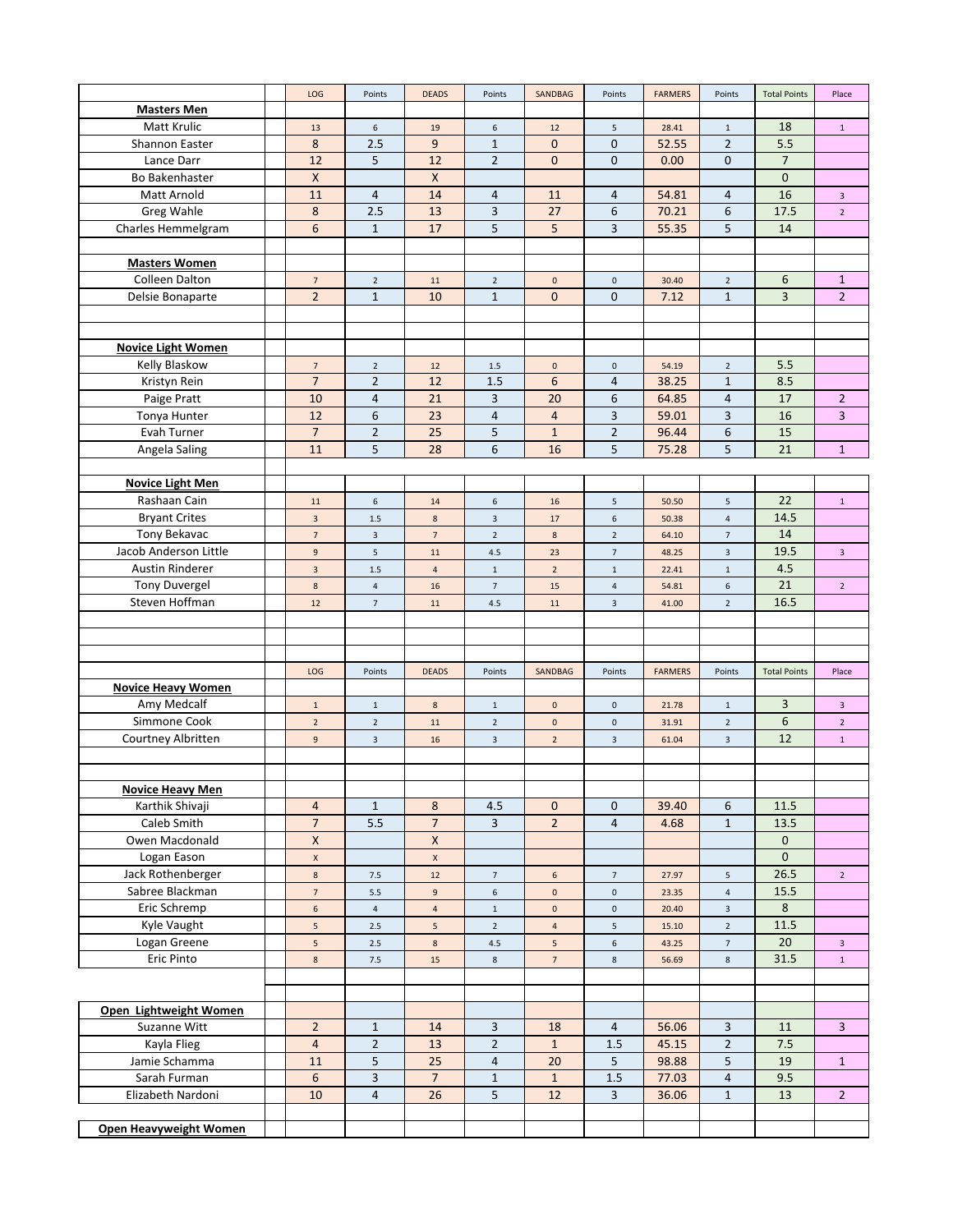| <b>Masters Men</b><br>Matt Krulic<br>18<br>$\,$ 6 $\,$<br>19<br>$\,$ 6 $\,$<br>12<br>$\overline{5}$<br>28.41<br>$\,$ 1 $\,$<br>$\mathbf{1}$<br>13<br>$\overline{9}$<br>8<br>$\overline{0}$<br>$\overline{0}$<br>$\overline{2}$<br>5.5<br>Shannon Easter<br>2.5<br>$\mathbf{1}$<br>52.55<br>5<br>$\overline{7}$<br>12<br>$\overline{2}$<br>$\overline{0}$<br>$\mathbf{0}$<br>Lance Darr<br>12<br>$\mathbf{0}$<br>0.00<br><b>Bo Bakenhaster</b><br>$\pmb{\times}$<br>X<br>$\mathbf{0}$<br>16<br>11<br>$\overline{4}$<br>14<br>Matt Arnold<br>4<br>11<br>54.81<br>$\overline{4}$<br>$\overline{4}$<br>$\mathbf{3}$<br>Greg Wahle<br>8<br>2.5<br>13<br>3<br>27<br>6<br>70.21<br>6<br>17.5<br>$\overline{2}$<br>5<br>$6\phantom{1}$<br>5<br>5<br>Charles Hemmelgram<br>17<br>3<br>55.35<br>14<br>$\mathbf{1}$<br><b>Masters Women</b><br>Colleen Dalton<br>6<br>$\mathbf{1}$<br>$\sqrt{ }$<br>$\overline{2}$<br>$\mathbf 0$<br>$\overline{2}$<br>11<br>$\overline{2}$<br>$\mathbf 0$<br>30.40<br>Delsie Bonaparte<br>$\overline{2}$<br>$\mathbf{1}$<br>10<br>$\mathbf{1}$<br>$\mathbf{0}$<br>$\mathbf{0}$<br>$\mathbf{1}$<br>3<br>$\overline{2}$<br>7.12<br><b>Novice Light Women</b><br>Kelly Blaskow<br>5.5<br>$\overline{7}$<br>$\overline{2}$<br>12<br>$\pmb{0}$<br>$\mathbf 0$<br>54.19<br>$\overline{2}$<br>1.5<br>$\overline{7}$<br>6<br>Kristyn Rein<br>$\overline{2}$<br>12<br>1.5<br>$\overline{4}$<br>38.25<br>8.5<br>$\mathbf{1}$<br>$\overline{4}$<br>21<br>3<br>20<br>$6\,$<br>$\overline{4}$<br>17<br>Paige Pratt<br>10<br>64.85<br>$\overline{2}$<br>Tonya Hunter<br>12<br>6<br>23<br>4<br>$\overline{4}$<br>3<br>59.01<br>3<br>16<br>3<br>$\overline{7}$<br>$\overline{2}$<br>25<br>5<br>$\mathbf{1}$<br>$\overline{2}$<br>$\boldsymbol{6}$<br>15<br>Evah Turner<br>96.44<br>5<br>6<br>5<br>5<br>Angela Saling<br>11<br>28<br>16<br>75.28<br>21<br>$\mathbf{1}$<br><b>Novice Light Men</b><br>22<br>Rashaan Cain<br>11<br>$\,$ 6 $\,$<br>$\,$ 6 $\,$<br>50.50<br>$\mathsf S$<br>$\mathbf{1}$<br>14<br>16<br>5<br><b>Bryant Crites</b><br>14.5<br>8<br>$\mathsf 3$<br>$\,$ 6 $\,$<br>$\overline{4}$<br>$\overline{3}$<br>$1.5\,$<br>17<br>50.38<br>Tony Bekavac<br>14<br>$\overline{2}$<br>$\bf 8$<br>$\overline{7}$<br>$\mathbf{3}$<br>$7\overline{ }$<br>$\overline{2}$<br>$\overline{7}$<br>64.10<br>19.5<br>Jacob Anderson Little<br>$\boldsymbol{9}$<br>$5\phantom{.0}$<br>11<br>4.5<br>23<br>$\overline{7}$<br>48.25<br>$\mathsf 3$<br>$\mathbf{3}$<br><b>Austin Rinderer</b><br>$4.5\,$<br>$\mathsf 3$<br>$\overline{\mathbf{4}}$<br>$\overline{2}$<br>$1\,$<br>$\,1\,$<br>22.41<br>$\mathbf 1$<br>1.5<br>21<br><b>Tony Duvergel</b><br>$\,$ 8 $\,$<br>$\overline{4}$<br>$\overline{2}$<br>$\overline{7}$<br>15<br>$\overline{4}$<br>6<br>16<br>54.81<br>Steven Hoffman<br>16.5<br>$\ensuremath{\mathsf{3}}$<br>$\mathbf 2$<br>12<br>$\overline{7}$<br>11<br>4.5<br>11<br>41.00<br>LOG<br>Points<br><b>DEADS</b><br>Points<br>SANDBAG<br>Points<br><b>FARMERS</b><br>Points<br><b>Total Points</b><br>Place<br><b>Novice Heavy Women</b><br>$\overline{3}$<br>Amy Medcalf<br>$\mathbf 0$<br>$\mathbf{1}$<br>8<br>$\mathbf{1}$<br>$\mathbf 0$<br>21.78<br>$\mathbf 1$<br>$\overline{3}$<br>$\mathbf 1$<br>Simmone Cook<br>6<br>$\pmb{0}$<br>$\overline{2}$<br>$\overline{2}$<br>$\overline{2}$<br>11<br>$\overline{2}$<br>$\mathbf 0$<br>$\overline{2}$<br>31.91<br>12<br>Courtney Albritten<br>$\overline{2}$<br>9<br>$\mathbf{3}$<br>16<br>$\mathbf{3}$<br>$\ensuremath{\mathsf{3}}$<br>61.04<br>$\mathsf 3$<br>$\mathbf{1}$<br><b>Novice Heavy Men</b><br>8<br>$\mathbf{0}$<br>39.40<br>Karthik Shivaji<br>$\overline{4}$<br>$\mathbf{1}$<br>4.5<br>$\mathbf{0}$<br>6<br>11.5<br>Caleb Smith<br>$\overline{7}$<br>5.5<br>$\overline{7}$<br>3<br>$\overline{2}$<br>$\overline{4}$<br>4.68<br>$\mathbf{1}$<br>13.5<br>Owen Macdonald<br>$\pmb{\mathsf{X}}$<br>X<br>$\mathbf 0$<br>$\mathbf{0}$<br>Logan Eason<br>$\mathsf X$<br>$\mathsf X$<br>Jack Rothenberger<br>26.5<br>$\bf 8$<br>$\boldsymbol{6}$<br>27.97<br>$\overline{2}$<br>7.5<br>12<br>$\overline{7}$<br>$\overline{7}$<br>5<br>15.5<br>Sabree Blackman<br>$\overline{\phantom{a}}$<br>9<br>$\pmb{0}$<br>$\mathbf 0$<br>$\sqrt{4}$<br>$\,$ 6 $\,$<br>5.5<br>23.35<br>Eric Schremp<br>8<br>$\sf 6$<br>$\overline{4}$<br>$1\,$<br>$\pmb{0}$<br>$\mathbf 0$<br>$\overline{a}$<br>20.40<br>$\mathbf{3}$<br>Kyle Vaught<br>11.5<br>$\mathsf S$<br>$\overline{2}$<br>$\overline{4}$<br>15.10<br>$\overline{2}$<br>$2.5\,$<br>5<br>5<br>Logan Greene<br>20<br>$5\phantom{.0}$<br>$\sqrt{5}$<br>$2.5\,$<br>$\bf 8$<br>$4.5\,$<br>$\,$ 6 $\,$<br>43.25<br>$\overline{7}$<br>$\mathbf{3}$<br>Eric Pinto<br>31.5<br>8<br>$\bf 8$<br>$\overline{7}$<br>$\bf 8$<br>$\bf 8$<br>$1\,$<br>7.5<br>15<br>56.69<br>Open Lightweight Women<br>Suzanne Witt<br>$\overline{2}$<br>56.06<br>3<br>$\mathbf{1}$<br>14<br>3<br>18<br>4<br>3<br>11<br>$\overline{2}$<br>$\overline{2}$<br>$\overline{4}$<br>13<br>$\mathbf{1}$<br>1.5<br>45.15<br>$\overline{2}$<br>7.5<br>Kayla Flieg<br>Jamie Schamma<br>5<br>11<br>25<br>4<br>20<br>5<br>98.88<br>5<br>19<br>$\mathbf{1}$<br>$6\phantom{1}$<br>$\overline{7}$<br>Sarah Furman<br>3<br>1.5<br>77.03<br>$\overline{4}$<br>9.5<br>$\mathbf{1}$<br>$\mathbf{1}$<br>$\overline{4}$<br>5<br>12<br>$\overline{2}$<br>Elizabeth Nardoni<br>10<br>26<br>3<br>36.06<br>$\mathbf{1}$<br>13<br>Open Heavyweight Women |  | LOG | Points | <b>DEADS</b> | Points | SANDBAG | Points | <b>FARMERS</b> | Points | <b>Total Points</b> | Place |
|-----------------------------------------------------------------------------------------------------------------------------------------------------------------------------------------------------------------------------------------------------------------------------------------------------------------------------------------------------------------------------------------------------------------------------------------------------------------------------------------------------------------------------------------------------------------------------------------------------------------------------------------------------------------------------------------------------------------------------------------------------------------------------------------------------------------------------------------------------------------------------------------------------------------------------------------------------------------------------------------------------------------------------------------------------------------------------------------------------------------------------------------------------------------------------------------------------------------------------------------------------------------------------------------------------------------------------------------------------------------------------------------------------------------------------------------------------------------------------------------------------------------------------------------------------------------------------------------------------------------------------------------------------------------------------------------------------------------------------------------------------------------------------------------------------------------------------------------------------------------------------------------------------------------------------------------------------------------------------------------------------------------------------------------------------------------------------------------------------------------------------------------------------------------------------------------------------------------------------------------------------------------------------------------------------------------------------------------------------------------------------------------------------------------------------------------------------------------------------------------------------------------------------------------------------------------------------------------------------------------------------------------------------------------------------------------------------------------------------------------------------------------------------------------------------------------------------------------------------------------------------------------------------------------------------------------------------------------------------------------------------------------------------------------------------------------------------------------------------------------------------------------------------------------------------------------------------------------------------------------------------------------------------------------------------------------------------------------------------------------------------------------------------------------------------------------------------------------------------------------------------------------------------------------------------------------------------------------------------------------------------------------------------------------------------------------------------------------------------------------------------------------------------------------------------------------------------------------------------------------------------------------------------------------------------------------------------------------------------------------------------------------------------------------------------------------------------------------------------------------------------------------------------------------------------------------------------------------------------------------------------------------------------------------------------------------------------------------------------------------------------------------------------------------------------------------------------------------------------------------------------------------------------------------------------------------------------------------------------------------------------------------------------------------------------------------------------------------------------------------------------------------------------------------------------------------------------------------------------------------------------------------------------------------------------------------------------------------------------------------------------------------------------------------------------------------------------------------------------------------------------------------------------------------------------------------------------------------------------------------------------------------------------------------------------------------------------------------------------------------------------------------------------------------|--|-----|--------|--------------|--------|---------|--------|----------------|--------|---------------------|-------|
|                                                                                                                                                                                                                                                                                                                                                                                                                                                                                                                                                                                                                                                                                                                                                                                                                                                                                                                                                                                                                                                                                                                                                                                                                                                                                                                                                                                                                                                                                                                                                                                                                                                                                                                                                                                                                                                                                                                                                                                                                                                                                                                                                                                                                                                                                                                                                                                                                                                                                                                                                                                                                                                                                                                                                                                                                                                                                                                                                                                                                                                                                                                                                                                                                                                                                                                                                                                                                                                                                                                                                                                                                                                                                                                                                                                                                                                                                                                                                                                                                                                                                                                                                                                                                                                                                                                                                                                                                                                                                                                                                                                                                                                                                                                                                                                                                                                                                                                                                                                                                                                                                                                                                                                                                                                                                                                                                                                                                 |  |     |        |              |        |         |        |                |        |                     |       |
|                                                                                                                                                                                                                                                                                                                                                                                                                                                                                                                                                                                                                                                                                                                                                                                                                                                                                                                                                                                                                                                                                                                                                                                                                                                                                                                                                                                                                                                                                                                                                                                                                                                                                                                                                                                                                                                                                                                                                                                                                                                                                                                                                                                                                                                                                                                                                                                                                                                                                                                                                                                                                                                                                                                                                                                                                                                                                                                                                                                                                                                                                                                                                                                                                                                                                                                                                                                                                                                                                                                                                                                                                                                                                                                                                                                                                                                                                                                                                                                                                                                                                                                                                                                                                                                                                                                                                                                                                                                                                                                                                                                                                                                                                                                                                                                                                                                                                                                                                                                                                                                                                                                                                                                                                                                                                                                                                                                                                 |  |     |        |              |        |         |        |                |        |                     |       |
|                                                                                                                                                                                                                                                                                                                                                                                                                                                                                                                                                                                                                                                                                                                                                                                                                                                                                                                                                                                                                                                                                                                                                                                                                                                                                                                                                                                                                                                                                                                                                                                                                                                                                                                                                                                                                                                                                                                                                                                                                                                                                                                                                                                                                                                                                                                                                                                                                                                                                                                                                                                                                                                                                                                                                                                                                                                                                                                                                                                                                                                                                                                                                                                                                                                                                                                                                                                                                                                                                                                                                                                                                                                                                                                                                                                                                                                                                                                                                                                                                                                                                                                                                                                                                                                                                                                                                                                                                                                                                                                                                                                                                                                                                                                                                                                                                                                                                                                                                                                                                                                                                                                                                                                                                                                                                                                                                                                                                 |  |     |        |              |        |         |        |                |        |                     |       |
|                                                                                                                                                                                                                                                                                                                                                                                                                                                                                                                                                                                                                                                                                                                                                                                                                                                                                                                                                                                                                                                                                                                                                                                                                                                                                                                                                                                                                                                                                                                                                                                                                                                                                                                                                                                                                                                                                                                                                                                                                                                                                                                                                                                                                                                                                                                                                                                                                                                                                                                                                                                                                                                                                                                                                                                                                                                                                                                                                                                                                                                                                                                                                                                                                                                                                                                                                                                                                                                                                                                                                                                                                                                                                                                                                                                                                                                                                                                                                                                                                                                                                                                                                                                                                                                                                                                                                                                                                                                                                                                                                                                                                                                                                                                                                                                                                                                                                                                                                                                                                                                                                                                                                                                                                                                                                                                                                                                                                 |  |     |        |              |        |         |        |                |        |                     |       |
|                                                                                                                                                                                                                                                                                                                                                                                                                                                                                                                                                                                                                                                                                                                                                                                                                                                                                                                                                                                                                                                                                                                                                                                                                                                                                                                                                                                                                                                                                                                                                                                                                                                                                                                                                                                                                                                                                                                                                                                                                                                                                                                                                                                                                                                                                                                                                                                                                                                                                                                                                                                                                                                                                                                                                                                                                                                                                                                                                                                                                                                                                                                                                                                                                                                                                                                                                                                                                                                                                                                                                                                                                                                                                                                                                                                                                                                                                                                                                                                                                                                                                                                                                                                                                                                                                                                                                                                                                                                                                                                                                                                                                                                                                                                                                                                                                                                                                                                                                                                                                                                                                                                                                                                                                                                                                                                                                                                                                 |  |     |        |              |        |         |        |                |        |                     |       |
|                                                                                                                                                                                                                                                                                                                                                                                                                                                                                                                                                                                                                                                                                                                                                                                                                                                                                                                                                                                                                                                                                                                                                                                                                                                                                                                                                                                                                                                                                                                                                                                                                                                                                                                                                                                                                                                                                                                                                                                                                                                                                                                                                                                                                                                                                                                                                                                                                                                                                                                                                                                                                                                                                                                                                                                                                                                                                                                                                                                                                                                                                                                                                                                                                                                                                                                                                                                                                                                                                                                                                                                                                                                                                                                                                                                                                                                                                                                                                                                                                                                                                                                                                                                                                                                                                                                                                                                                                                                                                                                                                                                                                                                                                                                                                                                                                                                                                                                                                                                                                                                                                                                                                                                                                                                                                                                                                                                                                 |  |     |        |              |        |         |        |                |        |                     |       |
|                                                                                                                                                                                                                                                                                                                                                                                                                                                                                                                                                                                                                                                                                                                                                                                                                                                                                                                                                                                                                                                                                                                                                                                                                                                                                                                                                                                                                                                                                                                                                                                                                                                                                                                                                                                                                                                                                                                                                                                                                                                                                                                                                                                                                                                                                                                                                                                                                                                                                                                                                                                                                                                                                                                                                                                                                                                                                                                                                                                                                                                                                                                                                                                                                                                                                                                                                                                                                                                                                                                                                                                                                                                                                                                                                                                                                                                                                                                                                                                                                                                                                                                                                                                                                                                                                                                                                                                                                                                                                                                                                                                                                                                                                                                                                                                                                                                                                                                                                                                                                                                                                                                                                                                                                                                                                                                                                                                                                 |  |     |        |              |        |         |        |                |        |                     |       |
|                                                                                                                                                                                                                                                                                                                                                                                                                                                                                                                                                                                                                                                                                                                                                                                                                                                                                                                                                                                                                                                                                                                                                                                                                                                                                                                                                                                                                                                                                                                                                                                                                                                                                                                                                                                                                                                                                                                                                                                                                                                                                                                                                                                                                                                                                                                                                                                                                                                                                                                                                                                                                                                                                                                                                                                                                                                                                                                                                                                                                                                                                                                                                                                                                                                                                                                                                                                                                                                                                                                                                                                                                                                                                                                                                                                                                                                                                                                                                                                                                                                                                                                                                                                                                                                                                                                                                                                                                                                                                                                                                                                                                                                                                                                                                                                                                                                                                                                                                                                                                                                                                                                                                                                                                                                                                                                                                                                                                 |  |     |        |              |        |         |        |                |        |                     |       |
|                                                                                                                                                                                                                                                                                                                                                                                                                                                                                                                                                                                                                                                                                                                                                                                                                                                                                                                                                                                                                                                                                                                                                                                                                                                                                                                                                                                                                                                                                                                                                                                                                                                                                                                                                                                                                                                                                                                                                                                                                                                                                                                                                                                                                                                                                                                                                                                                                                                                                                                                                                                                                                                                                                                                                                                                                                                                                                                                                                                                                                                                                                                                                                                                                                                                                                                                                                                                                                                                                                                                                                                                                                                                                                                                                                                                                                                                                                                                                                                                                                                                                                                                                                                                                                                                                                                                                                                                                                                                                                                                                                                                                                                                                                                                                                                                                                                                                                                                                                                                                                                                                                                                                                                                                                                                                                                                                                                                                 |  |     |        |              |        |         |        |                |        |                     |       |
|                                                                                                                                                                                                                                                                                                                                                                                                                                                                                                                                                                                                                                                                                                                                                                                                                                                                                                                                                                                                                                                                                                                                                                                                                                                                                                                                                                                                                                                                                                                                                                                                                                                                                                                                                                                                                                                                                                                                                                                                                                                                                                                                                                                                                                                                                                                                                                                                                                                                                                                                                                                                                                                                                                                                                                                                                                                                                                                                                                                                                                                                                                                                                                                                                                                                                                                                                                                                                                                                                                                                                                                                                                                                                                                                                                                                                                                                                                                                                                                                                                                                                                                                                                                                                                                                                                                                                                                                                                                                                                                                                                                                                                                                                                                                                                                                                                                                                                                                                                                                                                                                                                                                                                                                                                                                                                                                                                                                                 |  |     |        |              |        |         |        |                |        |                     |       |
|                                                                                                                                                                                                                                                                                                                                                                                                                                                                                                                                                                                                                                                                                                                                                                                                                                                                                                                                                                                                                                                                                                                                                                                                                                                                                                                                                                                                                                                                                                                                                                                                                                                                                                                                                                                                                                                                                                                                                                                                                                                                                                                                                                                                                                                                                                                                                                                                                                                                                                                                                                                                                                                                                                                                                                                                                                                                                                                                                                                                                                                                                                                                                                                                                                                                                                                                                                                                                                                                                                                                                                                                                                                                                                                                                                                                                                                                                                                                                                                                                                                                                                                                                                                                                                                                                                                                                                                                                                                                                                                                                                                                                                                                                                                                                                                                                                                                                                                                                                                                                                                                                                                                                                                                                                                                                                                                                                                                                 |  |     |        |              |        |         |        |                |        |                     |       |
|                                                                                                                                                                                                                                                                                                                                                                                                                                                                                                                                                                                                                                                                                                                                                                                                                                                                                                                                                                                                                                                                                                                                                                                                                                                                                                                                                                                                                                                                                                                                                                                                                                                                                                                                                                                                                                                                                                                                                                                                                                                                                                                                                                                                                                                                                                                                                                                                                                                                                                                                                                                                                                                                                                                                                                                                                                                                                                                                                                                                                                                                                                                                                                                                                                                                                                                                                                                                                                                                                                                                                                                                                                                                                                                                                                                                                                                                                                                                                                                                                                                                                                                                                                                                                                                                                                                                                                                                                                                                                                                                                                                                                                                                                                                                                                                                                                                                                                                                                                                                                                                                                                                                                                                                                                                                                                                                                                                                                 |  |     |        |              |        |         |        |                |        |                     |       |
|                                                                                                                                                                                                                                                                                                                                                                                                                                                                                                                                                                                                                                                                                                                                                                                                                                                                                                                                                                                                                                                                                                                                                                                                                                                                                                                                                                                                                                                                                                                                                                                                                                                                                                                                                                                                                                                                                                                                                                                                                                                                                                                                                                                                                                                                                                                                                                                                                                                                                                                                                                                                                                                                                                                                                                                                                                                                                                                                                                                                                                                                                                                                                                                                                                                                                                                                                                                                                                                                                                                                                                                                                                                                                                                                                                                                                                                                                                                                                                                                                                                                                                                                                                                                                                                                                                                                                                                                                                                                                                                                                                                                                                                                                                                                                                                                                                                                                                                                                                                                                                                                                                                                                                                                                                                                                                                                                                                                                 |  |     |        |              |        |         |        |                |        |                     |       |
|                                                                                                                                                                                                                                                                                                                                                                                                                                                                                                                                                                                                                                                                                                                                                                                                                                                                                                                                                                                                                                                                                                                                                                                                                                                                                                                                                                                                                                                                                                                                                                                                                                                                                                                                                                                                                                                                                                                                                                                                                                                                                                                                                                                                                                                                                                                                                                                                                                                                                                                                                                                                                                                                                                                                                                                                                                                                                                                                                                                                                                                                                                                                                                                                                                                                                                                                                                                                                                                                                                                                                                                                                                                                                                                                                                                                                                                                                                                                                                                                                                                                                                                                                                                                                                                                                                                                                                                                                                                                                                                                                                                                                                                                                                                                                                                                                                                                                                                                                                                                                                                                                                                                                                                                                                                                                                                                                                                                                 |  |     |        |              |        |         |        |                |        |                     |       |
|                                                                                                                                                                                                                                                                                                                                                                                                                                                                                                                                                                                                                                                                                                                                                                                                                                                                                                                                                                                                                                                                                                                                                                                                                                                                                                                                                                                                                                                                                                                                                                                                                                                                                                                                                                                                                                                                                                                                                                                                                                                                                                                                                                                                                                                                                                                                                                                                                                                                                                                                                                                                                                                                                                                                                                                                                                                                                                                                                                                                                                                                                                                                                                                                                                                                                                                                                                                                                                                                                                                                                                                                                                                                                                                                                                                                                                                                                                                                                                                                                                                                                                                                                                                                                                                                                                                                                                                                                                                                                                                                                                                                                                                                                                                                                                                                                                                                                                                                                                                                                                                                                                                                                                                                                                                                                                                                                                                                                 |  |     |        |              |        |         |        |                |        |                     |       |
|                                                                                                                                                                                                                                                                                                                                                                                                                                                                                                                                                                                                                                                                                                                                                                                                                                                                                                                                                                                                                                                                                                                                                                                                                                                                                                                                                                                                                                                                                                                                                                                                                                                                                                                                                                                                                                                                                                                                                                                                                                                                                                                                                                                                                                                                                                                                                                                                                                                                                                                                                                                                                                                                                                                                                                                                                                                                                                                                                                                                                                                                                                                                                                                                                                                                                                                                                                                                                                                                                                                                                                                                                                                                                                                                                                                                                                                                                                                                                                                                                                                                                                                                                                                                                                                                                                                                                                                                                                                                                                                                                                                                                                                                                                                                                                                                                                                                                                                                                                                                                                                                                                                                                                                                                                                                                                                                                                                                                 |  |     |        |              |        |         |        |                |        |                     |       |
|                                                                                                                                                                                                                                                                                                                                                                                                                                                                                                                                                                                                                                                                                                                                                                                                                                                                                                                                                                                                                                                                                                                                                                                                                                                                                                                                                                                                                                                                                                                                                                                                                                                                                                                                                                                                                                                                                                                                                                                                                                                                                                                                                                                                                                                                                                                                                                                                                                                                                                                                                                                                                                                                                                                                                                                                                                                                                                                                                                                                                                                                                                                                                                                                                                                                                                                                                                                                                                                                                                                                                                                                                                                                                                                                                                                                                                                                                                                                                                                                                                                                                                                                                                                                                                                                                                                                                                                                                                                                                                                                                                                                                                                                                                                                                                                                                                                                                                                                                                                                                                                                                                                                                                                                                                                                                                                                                                                                                 |  |     |        |              |        |         |        |                |        |                     |       |
|                                                                                                                                                                                                                                                                                                                                                                                                                                                                                                                                                                                                                                                                                                                                                                                                                                                                                                                                                                                                                                                                                                                                                                                                                                                                                                                                                                                                                                                                                                                                                                                                                                                                                                                                                                                                                                                                                                                                                                                                                                                                                                                                                                                                                                                                                                                                                                                                                                                                                                                                                                                                                                                                                                                                                                                                                                                                                                                                                                                                                                                                                                                                                                                                                                                                                                                                                                                                                                                                                                                                                                                                                                                                                                                                                                                                                                                                                                                                                                                                                                                                                                                                                                                                                                                                                                                                                                                                                                                                                                                                                                                                                                                                                                                                                                                                                                                                                                                                                                                                                                                                                                                                                                                                                                                                                                                                                                                                                 |  |     |        |              |        |         |        |                |        |                     |       |
|                                                                                                                                                                                                                                                                                                                                                                                                                                                                                                                                                                                                                                                                                                                                                                                                                                                                                                                                                                                                                                                                                                                                                                                                                                                                                                                                                                                                                                                                                                                                                                                                                                                                                                                                                                                                                                                                                                                                                                                                                                                                                                                                                                                                                                                                                                                                                                                                                                                                                                                                                                                                                                                                                                                                                                                                                                                                                                                                                                                                                                                                                                                                                                                                                                                                                                                                                                                                                                                                                                                                                                                                                                                                                                                                                                                                                                                                                                                                                                                                                                                                                                                                                                                                                                                                                                                                                                                                                                                                                                                                                                                                                                                                                                                                                                                                                                                                                                                                                                                                                                                                                                                                                                                                                                                                                                                                                                                                                 |  |     |        |              |        |         |        |                |        |                     |       |
|                                                                                                                                                                                                                                                                                                                                                                                                                                                                                                                                                                                                                                                                                                                                                                                                                                                                                                                                                                                                                                                                                                                                                                                                                                                                                                                                                                                                                                                                                                                                                                                                                                                                                                                                                                                                                                                                                                                                                                                                                                                                                                                                                                                                                                                                                                                                                                                                                                                                                                                                                                                                                                                                                                                                                                                                                                                                                                                                                                                                                                                                                                                                                                                                                                                                                                                                                                                                                                                                                                                                                                                                                                                                                                                                                                                                                                                                                                                                                                                                                                                                                                                                                                                                                                                                                                                                                                                                                                                                                                                                                                                                                                                                                                                                                                                                                                                                                                                                                                                                                                                                                                                                                                                                                                                                                                                                                                                                                 |  |     |        |              |        |         |        |                |        |                     |       |
|                                                                                                                                                                                                                                                                                                                                                                                                                                                                                                                                                                                                                                                                                                                                                                                                                                                                                                                                                                                                                                                                                                                                                                                                                                                                                                                                                                                                                                                                                                                                                                                                                                                                                                                                                                                                                                                                                                                                                                                                                                                                                                                                                                                                                                                                                                                                                                                                                                                                                                                                                                                                                                                                                                                                                                                                                                                                                                                                                                                                                                                                                                                                                                                                                                                                                                                                                                                                                                                                                                                                                                                                                                                                                                                                                                                                                                                                                                                                                                                                                                                                                                                                                                                                                                                                                                                                                                                                                                                                                                                                                                                                                                                                                                                                                                                                                                                                                                                                                                                                                                                                                                                                                                                                                                                                                                                                                                                                                 |  |     |        |              |        |         |        |                |        |                     |       |
|                                                                                                                                                                                                                                                                                                                                                                                                                                                                                                                                                                                                                                                                                                                                                                                                                                                                                                                                                                                                                                                                                                                                                                                                                                                                                                                                                                                                                                                                                                                                                                                                                                                                                                                                                                                                                                                                                                                                                                                                                                                                                                                                                                                                                                                                                                                                                                                                                                                                                                                                                                                                                                                                                                                                                                                                                                                                                                                                                                                                                                                                                                                                                                                                                                                                                                                                                                                                                                                                                                                                                                                                                                                                                                                                                                                                                                                                                                                                                                                                                                                                                                                                                                                                                                                                                                                                                                                                                                                                                                                                                                                                                                                                                                                                                                                                                                                                                                                                                                                                                                                                                                                                                                                                                                                                                                                                                                                                                 |  |     |        |              |        |         |        |                |        |                     |       |
|                                                                                                                                                                                                                                                                                                                                                                                                                                                                                                                                                                                                                                                                                                                                                                                                                                                                                                                                                                                                                                                                                                                                                                                                                                                                                                                                                                                                                                                                                                                                                                                                                                                                                                                                                                                                                                                                                                                                                                                                                                                                                                                                                                                                                                                                                                                                                                                                                                                                                                                                                                                                                                                                                                                                                                                                                                                                                                                                                                                                                                                                                                                                                                                                                                                                                                                                                                                                                                                                                                                                                                                                                                                                                                                                                                                                                                                                                                                                                                                                                                                                                                                                                                                                                                                                                                                                                                                                                                                                                                                                                                                                                                                                                                                                                                                                                                                                                                                                                                                                                                                                                                                                                                                                                                                                                                                                                                                                                 |  |     |        |              |        |         |        |                |        |                     |       |
|                                                                                                                                                                                                                                                                                                                                                                                                                                                                                                                                                                                                                                                                                                                                                                                                                                                                                                                                                                                                                                                                                                                                                                                                                                                                                                                                                                                                                                                                                                                                                                                                                                                                                                                                                                                                                                                                                                                                                                                                                                                                                                                                                                                                                                                                                                                                                                                                                                                                                                                                                                                                                                                                                                                                                                                                                                                                                                                                                                                                                                                                                                                                                                                                                                                                                                                                                                                                                                                                                                                                                                                                                                                                                                                                                                                                                                                                                                                                                                                                                                                                                                                                                                                                                                                                                                                                                                                                                                                                                                                                                                                                                                                                                                                                                                                                                                                                                                                                                                                                                                                                                                                                                                                                                                                                                                                                                                                                                 |  |     |        |              |        |         |        |                |        |                     |       |
|                                                                                                                                                                                                                                                                                                                                                                                                                                                                                                                                                                                                                                                                                                                                                                                                                                                                                                                                                                                                                                                                                                                                                                                                                                                                                                                                                                                                                                                                                                                                                                                                                                                                                                                                                                                                                                                                                                                                                                                                                                                                                                                                                                                                                                                                                                                                                                                                                                                                                                                                                                                                                                                                                                                                                                                                                                                                                                                                                                                                                                                                                                                                                                                                                                                                                                                                                                                                                                                                                                                                                                                                                                                                                                                                                                                                                                                                                                                                                                                                                                                                                                                                                                                                                                                                                                                                                                                                                                                                                                                                                                                                                                                                                                                                                                                                                                                                                                                                                                                                                                                                                                                                                                                                                                                                                                                                                                                                                 |  |     |        |              |        |         |        |                |        |                     |       |
|                                                                                                                                                                                                                                                                                                                                                                                                                                                                                                                                                                                                                                                                                                                                                                                                                                                                                                                                                                                                                                                                                                                                                                                                                                                                                                                                                                                                                                                                                                                                                                                                                                                                                                                                                                                                                                                                                                                                                                                                                                                                                                                                                                                                                                                                                                                                                                                                                                                                                                                                                                                                                                                                                                                                                                                                                                                                                                                                                                                                                                                                                                                                                                                                                                                                                                                                                                                                                                                                                                                                                                                                                                                                                                                                                                                                                                                                                                                                                                                                                                                                                                                                                                                                                                                                                                                                                                                                                                                                                                                                                                                                                                                                                                                                                                                                                                                                                                                                                                                                                                                                                                                                                                                                                                                                                                                                                                                                                 |  |     |        |              |        |         |        |                |        |                     |       |
|                                                                                                                                                                                                                                                                                                                                                                                                                                                                                                                                                                                                                                                                                                                                                                                                                                                                                                                                                                                                                                                                                                                                                                                                                                                                                                                                                                                                                                                                                                                                                                                                                                                                                                                                                                                                                                                                                                                                                                                                                                                                                                                                                                                                                                                                                                                                                                                                                                                                                                                                                                                                                                                                                                                                                                                                                                                                                                                                                                                                                                                                                                                                                                                                                                                                                                                                                                                                                                                                                                                                                                                                                                                                                                                                                                                                                                                                                                                                                                                                                                                                                                                                                                                                                                                                                                                                                                                                                                                                                                                                                                                                                                                                                                                                                                                                                                                                                                                                                                                                                                                                                                                                                                                                                                                                                                                                                                                                                 |  |     |        |              |        |         |        |                |        |                     |       |
|                                                                                                                                                                                                                                                                                                                                                                                                                                                                                                                                                                                                                                                                                                                                                                                                                                                                                                                                                                                                                                                                                                                                                                                                                                                                                                                                                                                                                                                                                                                                                                                                                                                                                                                                                                                                                                                                                                                                                                                                                                                                                                                                                                                                                                                                                                                                                                                                                                                                                                                                                                                                                                                                                                                                                                                                                                                                                                                                                                                                                                                                                                                                                                                                                                                                                                                                                                                                                                                                                                                                                                                                                                                                                                                                                                                                                                                                                                                                                                                                                                                                                                                                                                                                                                                                                                                                                                                                                                                                                                                                                                                                                                                                                                                                                                                                                                                                                                                                                                                                                                                                                                                                                                                                                                                                                                                                                                                                                 |  |     |        |              |        |         |        |                |        |                     |       |
|                                                                                                                                                                                                                                                                                                                                                                                                                                                                                                                                                                                                                                                                                                                                                                                                                                                                                                                                                                                                                                                                                                                                                                                                                                                                                                                                                                                                                                                                                                                                                                                                                                                                                                                                                                                                                                                                                                                                                                                                                                                                                                                                                                                                                                                                                                                                                                                                                                                                                                                                                                                                                                                                                                                                                                                                                                                                                                                                                                                                                                                                                                                                                                                                                                                                                                                                                                                                                                                                                                                                                                                                                                                                                                                                                                                                                                                                                                                                                                                                                                                                                                                                                                                                                                                                                                                                                                                                                                                                                                                                                                                                                                                                                                                                                                                                                                                                                                                                                                                                                                                                                                                                                                                                                                                                                                                                                                                                                 |  |     |        |              |        |         |        |                |        |                     |       |
|                                                                                                                                                                                                                                                                                                                                                                                                                                                                                                                                                                                                                                                                                                                                                                                                                                                                                                                                                                                                                                                                                                                                                                                                                                                                                                                                                                                                                                                                                                                                                                                                                                                                                                                                                                                                                                                                                                                                                                                                                                                                                                                                                                                                                                                                                                                                                                                                                                                                                                                                                                                                                                                                                                                                                                                                                                                                                                                                                                                                                                                                                                                                                                                                                                                                                                                                                                                                                                                                                                                                                                                                                                                                                                                                                                                                                                                                                                                                                                                                                                                                                                                                                                                                                                                                                                                                                                                                                                                                                                                                                                                                                                                                                                                                                                                                                                                                                                                                                                                                                                                                                                                                                                                                                                                                                                                                                                                                                 |  |     |        |              |        |         |        |                |        |                     |       |
|                                                                                                                                                                                                                                                                                                                                                                                                                                                                                                                                                                                                                                                                                                                                                                                                                                                                                                                                                                                                                                                                                                                                                                                                                                                                                                                                                                                                                                                                                                                                                                                                                                                                                                                                                                                                                                                                                                                                                                                                                                                                                                                                                                                                                                                                                                                                                                                                                                                                                                                                                                                                                                                                                                                                                                                                                                                                                                                                                                                                                                                                                                                                                                                                                                                                                                                                                                                                                                                                                                                                                                                                                                                                                                                                                                                                                                                                                                                                                                                                                                                                                                                                                                                                                                                                                                                                                                                                                                                                                                                                                                                                                                                                                                                                                                                                                                                                                                                                                                                                                                                                                                                                                                                                                                                                                                                                                                                                                 |  |     |        |              |        |         |        |                |        |                     |       |
|                                                                                                                                                                                                                                                                                                                                                                                                                                                                                                                                                                                                                                                                                                                                                                                                                                                                                                                                                                                                                                                                                                                                                                                                                                                                                                                                                                                                                                                                                                                                                                                                                                                                                                                                                                                                                                                                                                                                                                                                                                                                                                                                                                                                                                                                                                                                                                                                                                                                                                                                                                                                                                                                                                                                                                                                                                                                                                                                                                                                                                                                                                                                                                                                                                                                                                                                                                                                                                                                                                                                                                                                                                                                                                                                                                                                                                                                                                                                                                                                                                                                                                                                                                                                                                                                                                                                                                                                                                                                                                                                                                                                                                                                                                                                                                                                                                                                                                                                                                                                                                                                                                                                                                                                                                                                                                                                                                                                                 |  |     |        |              |        |         |        |                |        |                     |       |
|                                                                                                                                                                                                                                                                                                                                                                                                                                                                                                                                                                                                                                                                                                                                                                                                                                                                                                                                                                                                                                                                                                                                                                                                                                                                                                                                                                                                                                                                                                                                                                                                                                                                                                                                                                                                                                                                                                                                                                                                                                                                                                                                                                                                                                                                                                                                                                                                                                                                                                                                                                                                                                                                                                                                                                                                                                                                                                                                                                                                                                                                                                                                                                                                                                                                                                                                                                                                                                                                                                                                                                                                                                                                                                                                                                                                                                                                                                                                                                                                                                                                                                                                                                                                                                                                                                                                                                                                                                                                                                                                                                                                                                                                                                                                                                                                                                                                                                                                                                                                                                                                                                                                                                                                                                                                                                                                                                                                                 |  |     |        |              |        |         |        |                |        |                     |       |
|                                                                                                                                                                                                                                                                                                                                                                                                                                                                                                                                                                                                                                                                                                                                                                                                                                                                                                                                                                                                                                                                                                                                                                                                                                                                                                                                                                                                                                                                                                                                                                                                                                                                                                                                                                                                                                                                                                                                                                                                                                                                                                                                                                                                                                                                                                                                                                                                                                                                                                                                                                                                                                                                                                                                                                                                                                                                                                                                                                                                                                                                                                                                                                                                                                                                                                                                                                                                                                                                                                                                                                                                                                                                                                                                                                                                                                                                                                                                                                                                                                                                                                                                                                                                                                                                                                                                                                                                                                                                                                                                                                                                                                                                                                                                                                                                                                                                                                                                                                                                                                                                                                                                                                                                                                                                                                                                                                                                                 |  |     |        |              |        |         |        |                |        |                     |       |
|                                                                                                                                                                                                                                                                                                                                                                                                                                                                                                                                                                                                                                                                                                                                                                                                                                                                                                                                                                                                                                                                                                                                                                                                                                                                                                                                                                                                                                                                                                                                                                                                                                                                                                                                                                                                                                                                                                                                                                                                                                                                                                                                                                                                                                                                                                                                                                                                                                                                                                                                                                                                                                                                                                                                                                                                                                                                                                                                                                                                                                                                                                                                                                                                                                                                                                                                                                                                                                                                                                                                                                                                                                                                                                                                                                                                                                                                                                                                                                                                                                                                                                                                                                                                                                                                                                                                                                                                                                                                                                                                                                                                                                                                                                                                                                                                                                                                                                                                                                                                                                                                                                                                                                                                                                                                                                                                                                                                                 |  |     |        |              |        |         |        |                |        |                     |       |
|                                                                                                                                                                                                                                                                                                                                                                                                                                                                                                                                                                                                                                                                                                                                                                                                                                                                                                                                                                                                                                                                                                                                                                                                                                                                                                                                                                                                                                                                                                                                                                                                                                                                                                                                                                                                                                                                                                                                                                                                                                                                                                                                                                                                                                                                                                                                                                                                                                                                                                                                                                                                                                                                                                                                                                                                                                                                                                                                                                                                                                                                                                                                                                                                                                                                                                                                                                                                                                                                                                                                                                                                                                                                                                                                                                                                                                                                                                                                                                                                                                                                                                                                                                                                                                                                                                                                                                                                                                                                                                                                                                                                                                                                                                                                                                                                                                                                                                                                                                                                                                                                                                                                                                                                                                                                                                                                                                                                                 |  |     |        |              |        |         |        |                |        |                     |       |
|                                                                                                                                                                                                                                                                                                                                                                                                                                                                                                                                                                                                                                                                                                                                                                                                                                                                                                                                                                                                                                                                                                                                                                                                                                                                                                                                                                                                                                                                                                                                                                                                                                                                                                                                                                                                                                                                                                                                                                                                                                                                                                                                                                                                                                                                                                                                                                                                                                                                                                                                                                                                                                                                                                                                                                                                                                                                                                                                                                                                                                                                                                                                                                                                                                                                                                                                                                                                                                                                                                                                                                                                                                                                                                                                                                                                                                                                                                                                                                                                                                                                                                                                                                                                                                                                                                                                                                                                                                                                                                                                                                                                                                                                                                                                                                                                                                                                                                                                                                                                                                                                                                                                                                                                                                                                                                                                                                                                                 |  |     |        |              |        |         |        |                |        |                     |       |
|                                                                                                                                                                                                                                                                                                                                                                                                                                                                                                                                                                                                                                                                                                                                                                                                                                                                                                                                                                                                                                                                                                                                                                                                                                                                                                                                                                                                                                                                                                                                                                                                                                                                                                                                                                                                                                                                                                                                                                                                                                                                                                                                                                                                                                                                                                                                                                                                                                                                                                                                                                                                                                                                                                                                                                                                                                                                                                                                                                                                                                                                                                                                                                                                                                                                                                                                                                                                                                                                                                                                                                                                                                                                                                                                                                                                                                                                                                                                                                                                                                                                                                                                                                                                                                                                                                                                                                                                                                                                                                                                                                                                                                                                                                                                                                                                                                                                                                                                                                                                                                                                                                                                                                                                                                                                                                                                                                                                                 |  |     |        |              |        |         |        |                |        |                     |       |
|                                                                                                                                                                                                                                                                                                                                                                                                                                                                                                                                                                                                                                                                                                                                                                                                                                                                                                                                                                                                                                                                                                                                                                                                                                                                                                                                                                                                                                                                                                                                                                                                                                                                                                                                                                                                                                                                                                                                                                                                                                                                                                                                                                                                                                                                                                                                                                                                                                                                                                                                                                                                                                                                                                                                                                                                                                                                                                                                                                                                                                                                                                                                                                                                                                                                                                                                                                                                                                                                                                                                                                                                                                                                                                                                                                                                                                                                                                                                                                                                                                                                                                                                                                                                                                                                                                                                                                                                                                                                                                                                                                                                                                                                                                                                                                                                                                                                                                                                                                                                                                                                                                                                                                                                                                                                                                                                                                                                                 |  |     |        |              |        |         |        |                |        |                     |       |
|                                                                                                                                                                                                                                                                                                                                                                                                                                                                                                                                                                                                                                                                                                                                                                                                                                                                                                                                                                                                                                                                                                                                                                                                                                                                                                                                                                                                                                                                                                                                                                                                                                                                                                                                                                                                                                                                                                                                                                                                                                                                                                                                                                                                                                                                                                                                                                                                                                                                                                                                                                                                                                                                                                                                                                                                                                                                                                                                                                                                                                                                                                                                                                                                                                                                                                                                                                                                                                                                                                                                                                                                                                                                                                                                                                                                                                                                                                                                                                                                                                                                                                                                                                                                                                                                                                                                                                                                                                                                                                                                                                                                                                                                                                                                                                                                                                                                                                                                                                                                                                                                                                                                                                                                                                                                                                                                                                                                                 |  |     |        |              |        |         |        |                |        |                     |       |
|                                                                                                                                                                                                                                                                                                                                                                                                                                                                                                                                                                                                                                                                                                                                                                                                                                                                                                                                                                                                                                                                                                                                                                                                                                                                                                                                                                                                                                                                                                                                                                                                                                                                                                                                                                                                                                                                                                                                                                                                                                                                                                                                                                                                                                                                                                                                                                                                                                                                                                                                                                                                                                                                                                                                                                                                                                                                                                                                                                                                                                                                                                                                                                                                                                                                                                                                                                                                                                                                                                                                                                                                                                                                                                                                                                                                                                                                                                                                                                                                                                                                                                                                                                                                                                                                                                                                                                                                                                                                                                                                                                                                                                                                                                                                                                                                                                                                                                                                                                                                                                                                                                                                                                                                                                                                                                                                                                                                                 |  |     |        |              |        |         |        |                |        |                     |       |
|                                                                                                                                                                                                                                                                                                                                                                                                                                                                                                                                                                                                                                                                                                                                                                                                                                                                                                                                                                                                                                                                                                                                                                                                                                                                                                                                                                                                                                                                                                                                                                                                                                                                                                                                                                                                                                                                                                                                                                                                                                                                                                                                                                                                                                                                                                                                                                                                                                                                                                                                                                                                                                                                                                                                                                                                                                                                                                                                                                                                                                                                                                                                                                                                                                                                                                                                                                                                                                                                                                                                                                                                                                                                                                                                                                                                                                                                                                                                                                                                                                                                                                                                                                                                                                                                                                                                                                                                                                                                                                                                                                                                                                                                                                                                                                                                                                                                                                                                                                                                                                                                                                                                                                                                                                                                                                                                                                                                                 |  |     |        |              |        |         |        |                |        |                     |       |
|                                                                                                                                                                                                                                                                                                                                                                                                                                                                                                                                                                                                                                                                                                                                                                                                                                                                                                                                                                                                                                                                                                                                                                                                                                                                                                                                                                                                                                                                                                                                                                                                                                                                                                                                                                                                                                                                                                                                                                                                                                                                                                                                                                                                                                                                                                                                                                                                                                                                                                                                                                                                                                                                                                                                                                                                                                                                                                                                                                                                                                                                                                                                                                                                                                                                                                                                                                                                                                                                                                                                                                                                                                                                                                                                                                                                                                                                                                                                                                                                                                                                                                                                                                                                                                                                                                                                                                                                                                                                                                                                                                                                                                                                                                                                                                                                                                                                                                                                                                                                                                                                                                                                                                                                                                                                                                                                                                                                                 |  |     |        |              |        |         |        |                |        |                     |       |
|                                                                                                                                                                                                                                                                                                                                                                                                                                                                                                                                                                                                                                                                                                                                                                                                                                                                                                                                                                                                                                                                                                                                                                                                                                                                                                                                                                                                                                                                                                                                                                                                                                                                                                                                                                                                                                                                                                                                                                                                                                                                                                                                                                                                                                                                                                                                                                                                                                                                                                                                                                                                                                                                                                                                                                                                                                                                                                                                                                                                                                                                                                                                                                                                                                                                                                                                                                                                                                                                                                                                                                                                                                                                                                                                                                                                                                                                                                                                                                                                                                                                                                                                                                                                                                                                                                                                                                                                                                                                                                                                                                                                                                                                                                                                                                                                                                                                                                                                                                                                                                                                                                                                                                                                                                                                                                                                                                                                                 |  |     |        |              |        |         |        |                |        |                     |       |
|                                                                                                                                                                                                                                                                                                                                                                                                                                                                                                                                                                                                                                                                                                                                                                                                                                                                                                                                                                                                                                                                                                                                                                                                                                                                                                                                                                                                                                                                                                                                                                                                                                                                                                                                                                                                                                                                                                                                                                                                                                                                                                                                                                                                                                                                                                                                                                                                                                                                                                                                                                                                                                                                                                                                                                                                                                                                                                                                                                                                                                                                                                                                                                                                                                                                                                                                                                                                                                                                                                                                                                                                                                                                                                                                                                                                                                                                                                                                                                                                                                                                                                                                                                                                                                                                                                                                                                                                                                                                                                                                                                                                                                                                                                                                                                                                                                                                                                                                                                                                                                                                                                                                                                                                                                                                                                                                                                                                                 |  |     |        |              |        |         |        |                |        |                     |       |
|                                                                                                                                                                                                                                                                                                                                                                                                                                                                                                                                                                                                                                                                                                                                                                                                                                                                                                                                                                                                                                                                                                                                                                                                                                                                                                                                                                                                                                                                                                                                                                                                                                                                                                                                                                                                                                                                                                                                                                                                                                                                                                                                                                                                                                                                                                                                                                                                                                                                                                                                                                                                                                                                                                                                                                                                                                                                                                                                                                                                                                                                                                                                                                                                                                                                                                                                                                                                                                                                                                                                                                                                                                                                                                                                                                                                                                                                                                                                                                                                                                                                                                                                                                                                                                                                                                                                                                                                                                                                                                                                                                                                                                                                                                                                                                                                                                                                                                                                                                                                                                                                                                                                                                                                                                                                                                                                                                                                                 |  |     |        |              |        |         |        |                |        |                     |       |
|                                                                                                                                                                                                                                                                                                                                                                                                                                                                                                                                                                                                                                                                                                                                                                                                                                                                                                                                                                                                                                                                                                                                                                                                                                                                                                                                                                                                                                                                                                                                                                                                                                                                                                                                                                                                                                                                                                                                                                                                                                                                                                                                                                                                                                                                                                                                                                                                                                                                                                                                                                                                                                                                                                                                                                                                                                                                                                                                                                                                                                                                                                                                                                                                                                                                                                                                                                                                                                                                                                                                                                                                                                                                                                                                                                                                                                                                                                                                                                                                                                                                                                                                                                                                                                                                                                                                                                                                                                                                                                                                                                                                                                                                                                                                                                                                                                                                                                                                                                                                                                                                                                                                                                                                                                                                                                                                                                                                                 |  |     |        |              |        |         |        |                |        |                     |       |
|                                                                                                                                                                                                                                                                                                                                                                                                                                                                                                                                                                                                                                                                                                                                                                                                                                                                                                                                                                                                                                                                                                                                                                                                                                                                                                                                                                                                                                                                                                                                                                                                                                                                                                                                                                                                                                                                                                                                                                                                                                                                                                                                                                                                                                                                                                                                                                                                                                                                                                                                                                                                                                                                                                                                                                                                                                                                                                                                                                                                                                                                                                                                                                                                                                                                                                                                                                                                                                                                                                                                                                                                                                                                                                                                                                                                                                                                                                                                                                                                                                                                                                                                                                                                                                                                                                                                                                                                                                                                                                                                                                                                                                                                                                                                                                                                                                                                                                                                                                                                                                                                                                                                                                                                                                                                                                                                                                                                                 |  |     |        |              |        |         |        |                |        |                     |       |
|                                                                                                                                                                                                                                                                                                                                                                                                                                                                                                                                                                                                                                                                                                                                                                                                                                                                                                                                                                                                                                                                                                                                                                                                                                                                                                                                                                                                                                                                                                                                                                                                                                                                                                                                                                                                                                                                                                                                                                                                                                                                                                                                                                                                                                                                                                                                                                                                                                                                                                                                                                                                                                                                                                                                                                                                                                                                                                                                                                                                                                                                                                                                                                                                                                                                                                                                                                                                                                                                                                                                                                                                                                                                                                                                                                                                                                                                                                                                                                                                                                                                                                                                                                                                                                                                                                                                                                                                                                                                                                                                                                                                                                                                                                                                                                                                                                                                                                                                                                                                                                                                                                                                                                                                                                                                                                                                                                                                                 |  |     |        |              |        |         |        |                |        |                     |       |
|                                                                                                                                                                                                                                                                                                                                                                                                                                                                                                                                                                                                                                                                                                                                                                                                                                                                                                                                                                                                                                                                                                                                                                                                                                                                                                                                                                                                                                                                                                                                                                                                                                                                                                                                                                                                                                                                                                                                                                                                                                                                                                                                                                                                                                                                                                                                                                                                                                                                                                                                                                                                                                                                                                                                                                                                                                                                                                                                                                                                                                                                                                                                                                                                                                                                                                                                                                                                                                                                                                                                                                                                                                                                                                                                                                                                                                                                                                                                                                                                                                                                                                                                                                                                                                                                                                                                                                                                                                                                                                                                                                                                                                                                                                                                                                                                                                                                                                                                                                                                                                                                                                                                                                                                                                                                                                                                                                                                                 |  |     |        |              |        |         |        |                |        |                     |       |
|                                                                                                                                                                                                                                                                                                                                                                                                                                                                                                                                                                                                                                                                                                                                                                                                                                                                                                                                                                                                                                                                                                                                                                                                                                                                                                                                                                                                                                                                                                                                                                                                                                                                                                                                                                                                                                                                                                                                                                                                                                                                                                                                                                                                                                                                                                                                                                                                                                                                                                                                                                                                                                                                                                                                                                                                                                                                                                                                                                                                                                                                                                                                                                                                                                                                                                                                                                                                                                                                                                                                                                                                                                                                                                                                                                                                                                                                                                                                                                                                                                                                                                                                                                                                                                                                                                                                                                                                                                                                                                                                                                                                                                                                                                                                                                                                                                                                                                                                                                                                                                                                                                                                                                                                                                                                                                                                                                                                                 |  |     |        |              |        |         |        |                |        |                     |       |
|                                                                                                                                                                                                                                                                                                                                                                                                                                                                                                                                                                                                                                                                                                                                                                                                                                                                                                                                                                                                                                                                                                                                                                                                                                                                                                                                                                                                                                                                                                                                                                                                                                                                                                                                                                                                                                                                                                                                                                                                                                                                                                                                                                                                                                                                                                                                                                                                                                                                                                                                                                                                                                                                                                                                                                                                                                                                                                                                                                                                                                                                                                                                                                                                                                                                                                                                                                                                                                                                                                                                                                                                                                                                                                                                                                                                                                                                                                                                                                                                                                                                                                                                                                                                                                                                                                                                                                                                                                                                                                                                                                                                                                                                                                                                                                                                                                                                                                                                                                                                                                                                                                                                                                                                                                                                                                                                                                                                                 |  |     |        |              |        |         |        |                |        |                     |       |
|                                                                                                                                                                                                                                                                                                                                                                                                                                                                                                                                                                                                                                                                                                                                                                                                                                                                                                                                                                                                                                                                                                                                                                                                                                                                                                                                                                                                                                                                                                                                                                                                                                                                                                                                                                                                                                                                                                                                                                                                                                                                                                                                                                                                                                                                                                                                                                                                                                                                                                                                                                                                                                                                                                                                                                                                                                                                                                                                                                                                                                                                                                                                                                                                                                                                                                                                                                                                                                                                                                                                                                                                                                                                                                                                                                                                                                                                                                                                                                                                                                                                                                                                                                                                                                                                                                                                                                                                                                                                                                                                                                                                                                                                                                                                                                                                                                                                                                                                                                                                                                                                                                                                                                                                                                                                                                                                                                                                                 |  |     |        |              |        |         |        |                |        |                     |       |
|                                                                                                                                                                                                                                                                                                                                                                                                                                                                                                                                                                                                                                                                                                                                                                                                                                                                                                                                                                                                                                                                                                                                                                                                                                                                                                                                                                                                                                                                                                                                                                                                                                                                                                                                                                                                                                                                                                                                                                                                                                                                                                                                                                                                                                                                                                                                                                                                                                                                                                                                                                                                                                                                                                                                                                                                                                                                                                                                                                                                                                                                                                                                                                                                                                                                                                                                                                                                                                                                                                                                                                                                                                                                                                                                                                                                                                                                                                                                                                                                                                                                                                                                                                                                                                                                                                                                                                                                                                                                                                                                                                                                                                                                                                                                                                                                                                                                                                                                                                                                                                                                                                                                                                                                                                                                                                                                                                                                                 |  |     |        |              |        |         |        |                |        |                     |       |
|                                                                                                                                                                                                                                                                                                                                                                                                                                                                                                                                                                                                                                                                                                                                                                                                                                                                                                                                                                                                                                                                                                                                                                                                                                                                                                                                                                                                                                                                                                                                                                                                                                                                                                                                                                                                                                                                                                                                                                                                                                                                                                                                                                                                                                                                                                                                                                                                                                                                                                                                                                                                                                                                                                                                                                                                                                                                                                                                                                                                                                                                                                                                                                                                                                                                                                                                                                                                                                                                                                                                                                                                                                                                                                                                                                                                                                                                                                                                                                                                                                                                                                                                                                                                                                                                                                                                                                                                                                                                                                                                                                                                                                                                                                                                                                                                                                                                                                                                                                                                                                                                                                                                                                                                                                                                                                                                                                                                                 |  |     |        |              |        |         |        |                |        |                     |       |
|                                                                                                                                                                                                                                                                                                                                                                                                                                                                                                                                                                                                                                                                                                                                                                                                                                                                                                                                                                                                                                                                                                                                                                                                                                                                                                                                                                                                                                                                                                                                                                                                                                                                                                                                                                                                                                                                                                                                                                                                                                                                                                                                                                                                                                                                                                                                                                                                                                                                                                                                                                                                                                                                                                                                                                                                                                                                                                                                                                                                                                                                                                                                                                                                                                                                                                                                                                                                                                                                                                                                                                                                                                                                                                                                                                                                                                                                                                                                                                                                                                                                                                                                                                                                                                                                                                                                                                                                                                                                                                                                                                                                                                                                                                                                                                                                                                                                                                                                                                                                                                                                                                                                                                                                                                                                                                                                                                                                                 |  |     |        |              |        |         |        |                |        |                     |       |
|                                                                                                                                                                                                                                                                                                                                                                                                                                                                                                                                                                                                                                                                                                                                                                                                                                                                                                                                                                                                                                                                                                                                                                                                                                                                                                                                                                                                                                                                                                                                                                                                                                                                                                                                                                                                                                                                                                                                                                                                                                                                                                                                                                                                                                                                                                                                                                                                                                                                                                                                                                                                                                                                                                                                                                                                                                                                                                                                                                                                                                                                                                                                                                                                                                                                                                                                                                                                                                                                                                                                                                                                                                                                                                                                                                                                                                                                                                                                                                                                                                                                                                                                                                                                                                                                                                                                                                                                                                                                                                                                                                                                                                                                                                                                                                                                                                                                                                                                                                                                                                                                                                                                                                                                                                                                                                                                                                                                                 |  |     |        |              |        |         |        |                |        |                     |       |
|                                                                                                                                                                                                                                                                                                                                                                                                                                                                                                                                                                                                                                                                                                                                                                                                                                                                                                                                                                                                                                                                                                                                                                                                                                                                                                                                                                                                                                                                                                                                                                                                                                                                                                                                                                                                                                                                                                                                                                                                                                                                                                                                                                                                                                                                                                                                                                                                                                                                                                                                                                                                                                                                                                                                                                                                                                                                                                                                                                                                                                                                                                                                                                                                                                                                                                                                                                                                                                                                                                                                                                                                                                                                                                                                                                                                                                                                                                                                                                                                                                                                                                                                                                                                                                                                                                                                                                                                                                                                                                                                                                                                                                                                                                                                                                                                                                                                                                                                                                                                                                                                                                                                                                                                                                                                                                                                                                                                                 |  |     |        |              |        |         |        |                |        |                     |       |
|                                                                                                                                                                                                                                                                                                                                                                                                                                                                                                                                                                                                                                                                                                                                                                                                                                                                                                                                                                                                                                                                                                                                                                                                                                                                                                                                                                                                                                                                                                                                                                                                                                                                                                                                                                                                                                                                                                                                                                                                                                                                                                                                                                                                                                                                                                                                                                                                                                                                                                                                                                                                                                                                                                                                                                                                                                                                                                                                                                                                                                                                                                                                                                                                                                                                                                                                                                                                                                                                                                                                                                                                                                                                                                                                                                                                                                                                                                                                                                                                                                                                                                                                                                                                                                                                                                                                                                                                                                                                                                                                                                                                                                                                                                                                                                                                                                                                                                                                                                                                                                                                                                                                                                                                                                                                                                                                                                                                                 |  |     |        |              |        |         |        |                |        |                     |       |
|                                                                                                                                                                                                                                                                                                                                                                                                                                                                                                                                                                                                                                                                                                                                                                                                                                                                                                                                                                                                                                                                                                                                                                                                                                                                                                                                                                                                                                                                                                                                                                                                                                                                                                                                                                                                                                                                                                                                                                                                                                                                                                                                                                                                                                                                                                                                                                                                                                                                                                                                                                                                                                                                                                                                                                                                                                                                                                                                                                                                                                                                                                                                                                                                                                                                                                                                                                                                                                                                                                                                                                                                                                                                                                                                                                                                                                                                                                                                                                                                                                                                                                                                                                                                                                                                                                                                                                                                                                                                                                                                                                                                                                                                                                                                                                                                                                                                                                                                                                                                                                                                                                                                                                                                                                                                                                                                                                                                                 |  |     |        |              |        |         |        |                |        |                     |       |
|                                                                                                                                                                                                                                                                                                                                                                                                                                                                                                                                                                                                                                                                                                                                                                                                                                                                                                                                                                                                                                                                                                                                                                                                                                                                                                                                                                                                                                                                                                                                                                                                                                                                                                                                                                                                                                                                                                                                                                                                                                                                                                                                                                                                                                                                                                                                                                                                                                                                                                                                                                                                                                                                                                                                                                                                                                                                                                                                                                                                                                                                                                                                                                                                                                                                                                                                                                                                                                                                                                                                                                                                                                                                                                                                                                                                                                                                                                                                                                                                                                                                                                                                                                                                                                                                                                                                                                                                                                                                                                                                                                                                                                                                                                                                                                                                                                                                                                                                                                                                                                                                                                                                                                                                                                                                                                                                                                                                                 |  |     |        |              |        |         |        |                |        |                     |       |
|                                                                                                                                                                                                                                                                                                                                                                                                                                                                                                                                                                                                                                                                                                                                                                                                                                                                                                                                                                                                                                                                                                                                                                                                                                                                                                                                                                                                                                                                                                                                                                                                                                                                                                                                                                                                                                                                                                                                                                                                                                                                                                                                                                                                                                                                                                                                                                                                                                                                                                                                                                                                                                                                                                                                                                                                                                                                                                                                                                                                                                                                                                                                                                                                                                                                                                                                                                                                                                                                                                                                                                                                                                                                                                                                                                                                                                                                                                                                                                                                                                                                                                                                                                                                                                                                                                                                                                                                                                                                                                                                                                                                                                                                                                                                                                                                                                                                                                                                                                                                                                                                                                                                                                                                                                                                                                                                                                                                                 |  |     |        |              |        |         |        |                |        |                     |       |